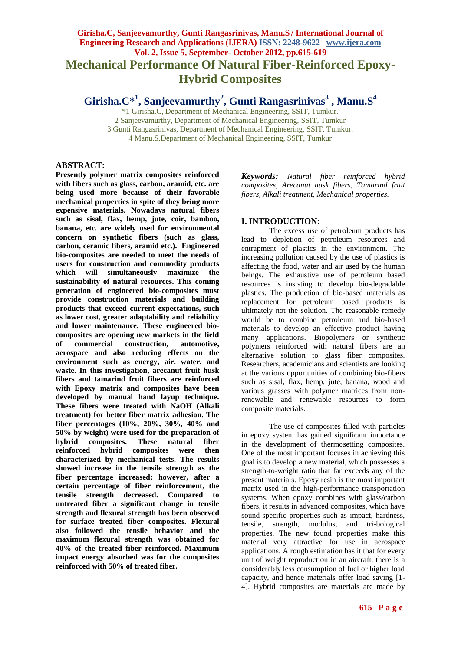# **Girisha.C, Sanjeevamurthy, Gunti Rangasrinivas, Manu.S / International Journal of Engineering Research and Applications (IJERA) ISSN: 2248-9622 www.ijera.com Vol. 2, Issue 5, September- October 2012, pp.615-619 Mechanical Performance Of Natural Fiber-Reinforced Epoxy-Hybrid Composites**

**Girisha.C\*<sup>1</sup> , Sanjeevamurthy<sup>2</sup> , Gunti Rangasrinivas<sup>3</sup> , Manu.S<sup>4</sup>**

\*1 Girisha.C, Department of Mechanical Engineering, SSIT, Tumkur. 2 Sanjeevamurthy, Department of Mechanical Engineering, SSIT, Tumkur 3 Gunti Rangasrinivas, Department of Mechanical Engineering, SSIT, Tumkur. 4 Manu.S,Department of Mechanical Engineering, SSIT, Tumkur

## **ABSTRACT:**

**Presently polymer matrix composites reinforced with fibers such as glass, carbon, aramid, etc. are being used more because of their favorable mechanical properties in spite of they being more expensive materials. Nowadays natural fibers such as sisal, flax, hemp, jute, coir, bamboo, banana, etc. are widely used for environmental concern on synthetic fibers (such as glass, carbon, ceramic fibers, aramid etc.). Engineered bio-composites are needed to meet the needs of users for construction and commodity products which will simultaneously maximize the sustainability of natural resources. This coming generation of engineered bio-composites must provide construction materials and building products that exceed current expectations, such as lower cost, greater adaptability and reliability and lower maintenance. These engineered biocomposites are opening new markets in the field of commercial construction, automotive, aerospace and also reducing effects on the environment such as energy, air, water, and waste. In this investigation, arecanut fruit husk fibers and tamarind fruit fibers are reinforced with Epoxy matrix and composites have been developed by manual hand layup technique. These fibers were treated with NaOH (Alkali treatment) for better fiber matrix adhesion. The fiber percentages (10%, 20%, 30%, 40% and 50% by weight) were used for the preparation of hybrid composites. These natural fiber reinforced hybrid composites were then characterized by mechanical tests. The results showed increase in the tensile strength as the fiber percentage increased; however, after a certain percentage of fiber reinforcement, the tensile strength decreased. Compared to untreated fiber a significant change in tensile strength and flexural strength has been observed for surface treated fiber composites. Flexural also followed the tensile behavior and the maximum flexural strength was obtained for 40% of the treated fiber reinforced. Maximum impact energy absorbed was for the composites reinforced with 50% of treated fiber.** 

*Keywords: Natural fiber reinforced hybrid composites, Arecanut husk fibers, Tamarind fruit fibers, Alkali treatment, Mechanical properties.*

## **I. INTRODUCTION:**

The excess use of petroleum products has lead to depletion of petroleum resources and entrapment of plastics in the environment. The increasing pollution caused by the use of plastics is affecting the food, water and air used by the human beings. The exhaustive use of petroleum based resources is insisting to develop bio-degradable plastics. The production of bio-based materials as replacement for petroleum based products is ultimately not the solution. The reasonable remedy would be to combine petroleum and bio-based materials to develop an effective product having many applications. Biopolymers or synthetic polymers reinforced with natural fibers are an alternative solution to glass fiber composites. Researchers, academicians and scientists are looking at the various opportunities of combining bio-fibers such as sisal, flax, hemp, jute, banana, wood and various grasses with polymer matrices from nonrenewable and renewable resources to form composite materials.

The use of composites filled with particles in epoxy system has gained significant importance in the development of thermosetting composites. One of the most important focuses in achieving this goal is to develop a new material, which possesses a strength-to-weight ratio that far exceeds any of the present materials. Epoxy resin is the most important matrix used in the high-performance transportation systems. When epoxy combines with glass/carbon fibers, it results in advanced composites, which have sound-specific properties such as impact, hardness, tensile, strength, modulus, and tri-bological properties. The new found properties make this material very attractive for use in aerospace applications. A rough estimation has it that for every unit of weight reproduction in an aircraft, there is a considerably less consumption of fuel or higher load capacity, and hence materials offer load saving [1- 4]. Hybrid composites are materials are made by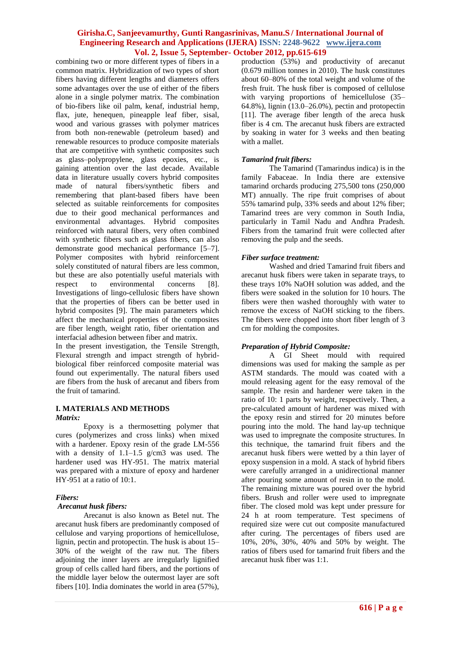combining two or more different types of fibers in a common matrix. Hybridization of two types of short fibers having different lengths and diameters offers some advantages over the use of either of the fibers alone in a single polymer matrix. The combination of bio-fibers like oil palm, kenaf, industrial hemp, flax, jute, henequen, pineapple leaf fiber, sisal, wood and various grasses with polymer matrices from both non-renewable (petroleum based) and renewable resources to produce composite materials that are competitive with synthetic composites such as glass–polypropylene, glass epoxies, etc., is gaining attention over the last decade. Available data in literature usually covers hybrid composites made of natural fibers/synthetic fibers and remembering that plant-based fibers have been selected as suitable reinforcements for composites due to their good mechanical performances and environmental advantages. Hybrid composites reinforced with natural fibers, very often combined with synthetic fibers such as glass fibers, can also demonstrate good mechanical performance [5–7]. Polymer composites with hybrid reinforcement solely constituted of natural fibers are less common, but these are also potentially useful materials with respect to environmental concerns [8]. Investigations of lingo-cellulosic fibers have shown that the properties of fibers can be better used in hybrid composites [9]. The main parameters which affect the mechanical properties of the composites are fiber length, weight ratio, fiber orientation and interfacial adhesion between fiber and matrix.

In the present investigation, the Tensile Strength, Flexural strength and impact strength of hybridbiological fiber reinforced composite material was found out experimentally. The natural fibers used are fibers from the husk of arecanut and fibers from the fruit of tamarind.

# **I. MATERIALS AND METHODS**

#### *Matrix:*

Epoxy is a thermosetting polymer that cures (polymerizes and cross links) when mixed with a hardener. Epoxy resin of the grade LM-556 with a density of  $1.1-1.5$  g/cm3 was used. The hardener used was HY-951. The matrix material was prepared with a mixture of epoxy and hardener HY-951 at a ratio of 10:1.

#### *Fibers:*

#### *Arecanut husk fibers:*

Arecanut is also known as Betel nut. The arecanut husk fibers are predominantly composed of cellulose and varying proportions of hemicellulose, lignin, pectin and protopectin. The husk is about 15– 30% of the weight of the raw nut. The fibers adjoining the inner layers are irregularly lignified group of cells called hard fibers, and the portions of the middle layer below the outermost layer are soft fibers [10]. India dominates the world in area (57%), production (53%) and productivity of arecanut (0.679 million tonnes in 2010). The husk constitutes about 60–80% of the total weight and volume of the fresh fruit. The husk fiber is composed of cellulose with varying proportions of hemicellulose (35– 64.8%), lignin (13.0–26.0%), pectin and protopectin [11]. The average fiber length of the areca husk fiber is 4 cm. The arecanut husk fibers are extracted by soaking in water for 3 weeks and then beating with a mallet.

# *Tamarind fruit fibers:*

The Tamarind (Tamarindus indica) is in the family Fabaceae. In India there are extensive tamarind orchards producing 275,500 tons (250,000 MT) annually. The ripe fruit comprises of about 55% tamarind pulp, 33% seeds and about 12% fiber; Tamarind trees are very common in South India, particularly in Tamil Nadu and Andhra Pradesh. Fibers from the tamarind fruit were collected after removing the pulp and the seeds.

## *Fiber surface treatment:*

Washed and dried Tamarind fruit fibers and arecanut husk fibers were taken in separate trays, to these trays 10% NaOH solution was added, and the fibers were soaked in the solution for 10 hours. The fibers were then washed thoroughly with water to remove the excess of NaOH sticking to the fibers. The fibers were chopped into short fiber length of 3 cm for molding the composites.

# *Preparation of Hybrid Composite:*

A GI Sheet mould with required dimensions was used for making the sample as per ASTM standards. The mould was coated with a mould releasing agent for the easy removal of the sample. The resin and hardener were taken in the ratio of 10: 1 parts by weight, respectively. Then, a pre-calculated amount of hardener was mixed with the epoxy resin and stirred for 20 minutes before pouring into the mold. The hand lay-up technique was used to impregnate the composite structures. In this technique, the tamarind fruit fibers and the arecanut husk fibers were wetted by a thin layer of epoxy suspension in a mold. A stack of hybrid fibers were carefully arranged in a unidirectional manner after pouring some amount of resin in to the mold. The remaining mixture was poured over the hybrid fibers. Brush and roller were used to impregnate fiber. The closed mold was kept under pressure for 24 h at room temperature. Test specimens of required size were cut out composite manufactured after curing. The percentages of fibers used are 10%, 20%, 30%, 40% and 50% by weight. The ratios of fibers used for tamarind fruit fibers and the arecanut husk fiber was 1:1.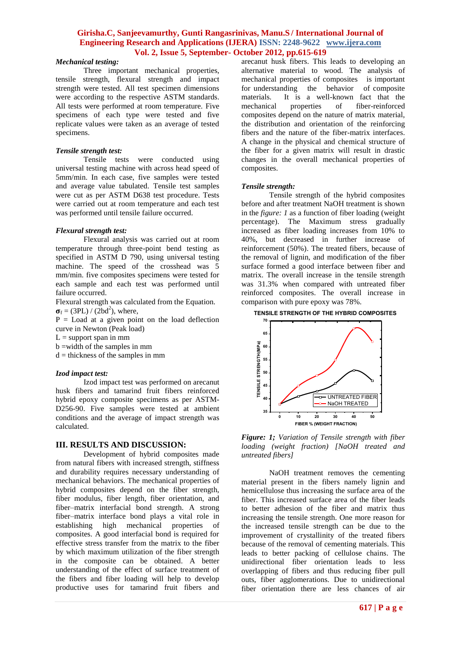## *Mechanical testing:*

Three important mechanical properties, tensile strength, flexural strength and impact strength were tested. All test specimen dimensions were according to the respective ASTM standards. All tests were performed at room temperature. Five specimens of each type were tested and five replicate values were taken as an average of tested specimens.

#### *Tensile strength test:*

Tensile tests were conducted using universal testing machine with across head speed of 5mm/min. In each case, five samples were tested and average value tabulated. Tensile test samples were cut as per ASTM D638 test procedure. Tests were carried out at room temperature and each test was performed until tensile failure occurred.

#### *Flexural strength test:*

Flexural analysis was carried out at room temperature through three-point bend testing as specified in ASTM D 790, using universal testing machine. The speed of the crosshead was 5 mm/min. five composites specimens were tested for each sample and each test was performed until failure occurred.

Flexural strength was calculated from the Equation.  $\sigma_f = (3PL) / (2bd^2)$ , where,

 $P =$  Load at a given point on the load deflection curve in Newton (Peak load)

 $L =$  support span in mm

b =width of the samples in mm

 $d =$  thickness of the samples in mm

#### *Izod impact test:*

Izod impact test was performed on arecanut husk fibers and tamarind fruit fibers reinforced hybrid epoxy composite specimens as per ASTM-D256-90. Five samples were tested at ambient conditions and the average of impact strength was calculated.

## **III. RESULTS AND DISCUSSION:**

Development of hybrid composites made from natural fibers with increased strength, stiffness and durability requires necessary understanding of mechanical behaviors. The mechanical properties of hybrid composites depend on the fiber strength, fiber modulus, fiber length, fiber orientation, and fiber–matrix interfacial bond strength. A strong fiber–matrix interface bond plays a vital role in establishing high mechanical properties of composites. A good interfacial bond is required for effective stress transfer from the matrix to the fiber by which maximum utilization of the fiber strength in the composite can be obtained. A better understanding of the effect of surface treatment of the fibers and fiber loading will help to develop productive uses for tamarind fruit fibers and

arecanut husk fibers. This leads to developing an alternative material to wood. The analysis of mechanical properties of composites is important for understanding the behavior of composite materials. It is a well-known fact that the<br>mechanical properties of fiber-reinforced fiber-reinforced composites depend on the nature of matrix material, the distribution and orientation of the reinforcing fibers and the nature of the fiber-matrix interfaces. A change in the physical and chemical structure of the fiber for a given matrix will result in drastic changes in the overall mechanical properties of composites.

#### *Tensile strength:*

Tensile strength of the hybrid composites before and after treatment NaOH treatment is shown in the *figure: 1* as a function of fiber loading (weight percentage). The Maximum stress gradually increased as fiber loading increases from 10% to 40%, but decreased in further increase of reinforcement (50%). The treated fibers, because of the removal of lignin, and modification of the fiber surface formed a good interface between fiber and matrix. The overall increase in the tensile strength was 31.3% when compared with untreated fiber reinforced composites. The overall increase in comparison with pure epoxy was 78%.

**<sup>70</sup> TENSILE STRENGTH OF THE HYBRID COMPOSITES**



*Figure: 1; Variation of Tensile strength with fiber loading (weight fraction) [NaOH treated and untreated fibers]*

NaOH treatment removes the cementing material present in the fibers namely lignin and hemicellulose thus increasing the surface area of the fiber. This increased surface area of the fiber leads to better adhesion of the fiber and matrix thus increasing the tensile strength. One more reason for the increased tensile strength can be due to the improvement of crystallinity of the treated fibers because of the removal of cementing materials. This leads to better packing of cellulose chains. The unidirectional fiber orientation leads to less overlapping of fibers and thus reducing fiber pull outs, fiber agglomerations. Due to unidirectional fiber orientation there are less chances of air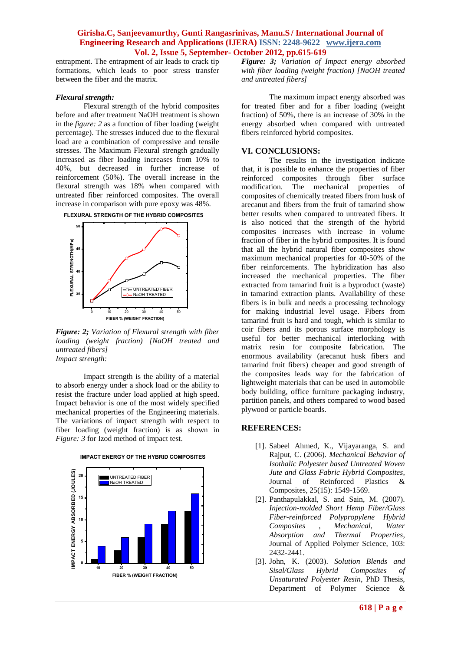entrapment. The entrapment of air leads to crack tip formations, which leads to poor stress transfer between the fiber and the matrix.

#### *Flexural strength:*

Flexural strength of the hybrid composites before and after treatment NaOH treatment is shown in the *figure: 2* as a function of fiber loading (weight percentage). The stresses induced due to the flexural load are a combination of compressive and tensile stresses. The Maximum Flexural strength gradually increased as fiber loading increases from 10% to 40%, but decreased in further increase of reinforcement (50%). The overall increase in the flexural strength was 18% when compared with untreated fiber reinforced composites. The overall increase in comparison with pure epoxy was 48%.



*Figure: 2; Variation of Flexural strength with fiber loading (weight fraction) [NaOH treated and untreated fibers] Impact strength:* 

Impact strength is the ability of a material to absorb energy under a shock load or the ability to resist the fracture under load applied at high speed. Impact behavior is one of the most widely specified mechanical properties of the Engineering materials. The variations of impact strength with respect to fiber loading (weight fraction) is as shown in *Figure: 3* for Izod method of impact test.



**IMPACT ENERGY OF THE HYBRID COMPOSITES**

*Figure: 3; Variation of Impact energy absorbed with fiber loading (weight fraction) [NaOH treated and untreated fibers]*

The maximum impact energy absorbed was for treated fiber and for a fiber loading (weight fraction) of 50%, there is an increase of 30% in the energy absorbed when compared with untreated fibers reinforced hybrid composites.

# **VI. CONCLUSIONS:**

The results in the investigation indicate that, it is possible to enhance the properties of fiber reinforced composites through fiber surface<br>modification. The mechanical properties of modification. The mechanical composites of chemically treated fibers from husk of arecanut and fibers from the fruit of tamarind show better results when compared to untreated fibers. It is also noticed that the strength of the hybrid composites increases with increase in volume fraction of fiber in the hybrid composites. It is found that all the hybrid natural fiber composites show maximum mechanical properties for 40-50% of the fiber reinforcements. The hybridization has also increased the mechanical properties. The fiber extracted from tamarind fruit is a byproduct (waste) in tamarind extraction plants. Availability of these fibers is in bulk and needs a processing technology for making industrial level usage. Fibers from tamarind fruit is hard and tough, which is similar to coir fibers and its porous surface morphology is useful for better mechanical interlocking with matrix resin for composite fabrication. The enormous availability (arecanut husk fibers and tamarind fruit fibers) cheaper and good strength of the composites leads way for the fabrication of lightweight materials that can be used in automobile body building, office furniture packaging industry, partition panels, and others compared to wood based plywood or particle boards.

# **REFERENCES:**

- [1]. Sabeel Ahmed, K., Vijayaranga, S. and Rajput, C. (2006). *Mechanical Behavior of Isothalic Polyester based Untreated Woven Jute and Glass Fabric Hybrid Composites*, Journal of Reinforced Plastics & Composites, 25(15): 1549-1569.
- [2]. Panthapulakkal, S. and Sain, M. (2007). *Injection-molded Short Hemp Fiber/Glass Fiber-reinforced Polypropylene Hybrid Composites , Mechanical, Water Absorption and Thermal Properties*, Journal of Applied Polymer Science, 103: 2432-2441.
- [3]. John, K. (2003). *Solution Blends and Sisal/Glass Hybrid Composites of Unsaturated Polyester Resin*, PhD Thesis, Department of Polymer Science &